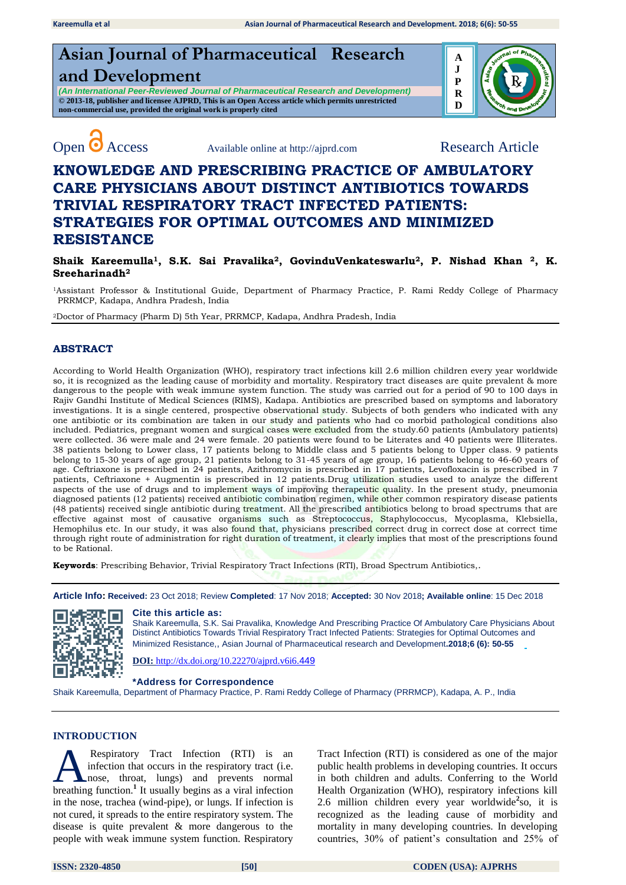# **Asian Journal of Pharmaceutical Research and Development**

*(An International Peer-Reviewed Journal of Pharmaceutical Research and Development)* **© 2013-18, publisher and licensee AJPRD, This is an Open Access article which permits unrestricted non-commercial use, provided the original work is properly cited**





# **KNOWLEDGE AND PRESCRIBING PRACTICE OF AMBULATORY CARE PHYSICIANS ABOUT DISTINCT ANTIBIOTICS TOWARDS TRIVIAL RESPIRATORY TRACT INFECTED PATIENTS: STRATEGIES FOR OPTIMAL OUTCOMES AND MINIMIZED RESISTANCE**

**Shaik Kareemulla1, S.K. Sai Pravalika2, GovinduVenkateswarlu2, P. Nishad Khan 2, K. Sreeharinadh<sup>2</sup>**

<sup>1</sup>Assistant Professor & Institutional Guide, Department of Pharmacy Practice, P. Rami Reddy College of Pharmacy PRRMCP, Kadapa, Andhra Pradesh, India

<sup>2</sup>Doctor of Pharmacy (Pharm D) 5th Year, PRRMCP, Kadapa, Andhra Pradesh, India

# **ABSTRACT**

According to World Health Organization (WHO), respiratory tract infections kill 2.6 million children every year worldwide so, it is recognized as the leading cause of morbidity and mortality. Respiratory tract diseases are quite prevalent & more dangerous to the people with weak immune system function. The study was carried out for a period of 90 to 100 days in Rajiv Gandhi Institute of Medical Sciences (RIMS), Kadapa. Antibiotics are prescribed based on symptoms and laboratory investigations. It is a single centered, prospective observational study. Subjects of both genders who indicated with any one antibiotic or its combination are taken in our study and patients who had co morbid pathological conditions also included. Pediatrics, pregnant women and surgical cases were excluded from the study.60 patients (Ambulatory patients) were collected. 36 were male and 24 were female. 20 patients were found to be Literates and 40 patients were Illiterates. 38 patients belong to Lower class, 17 patients belong to Middle class and 5 patients belong to Upper class. 9 patients belong to 15-30 years of age group, 21 patients belong to 31-45 years of age group, 16 patients belong to 46-60 years of age. Ceftriaxone is prescribed in 24 patients, Azithromycin is prescribed in 17 patients, Levofloxacin is prescribed in 7 patients, Ceftriaxone + Augmentin is prescribed in 12 patients.Drug utilization studies used to analyze the different aspects of the use of drugs and to implement ways of improving therapeutic quality. In the present study, pneumonia diagnosed patients (12 patients) received antibiotic combination regimen, while other common respiratory disease patients (48 patients) received single antibiotic during treatment. All the prescribed antibiotics belong to broad spectrums that are effective against most of causative organisms such as Streptococcus, Staphylococcus, Mycoplasma, Klebsiella, Hemophilus etc. In our study, it was also found that, physicians prescribed correct drug in correct dose at correct time through right route of administration for right duration of treatment, it clearly implies that most of the prescriptions found to be Rational.

**Keywords**: Prescribing Behavior, Trivial Respiratory Tract Infections (RTI), Broad Spectrum Antibiotics,.

**Article Info: Received:** 23 Oct 2018; Review **Completed**: 17 Nov 2018; **Accepted:** 30 Nov 2018**; Available online**: 15 Dec 2018



#### **Cite this article as:**

Shaik Kareemulla, S.K. Sai Pravalika, Knowledge And Prescribing Practice Of Ambulatory Care Physicians About Distinct Antibiotics Towards Trivial Respiratory Tract Infected Patients: Strategies for Optimal Outcomes and Minimized Resistance,, Asian Journal of Pharmaceutical research and Development**.2018;6 (6): 50-55** 

**DOI:** [http://dx.doi.org/10.22270/ajprd.v6i6.](http://dx.doi.org/10.22270/ajprd.v6i6.449)449

#### **\*Address for Correspondence**

Shaik Kareemulla, Department of Pharmacy Practice, P. Rami Reddy College of Pharmacy (PRRMCP), Kadapa, A. P., India

### **INTRODUCTION**

Respiratory Tract Infection (RTI) is an infection that occurs in the [respiratory tract](http://www.nps.org.au/conditions/respiratory-problems/respiratory-tract-infections/for-individuals/what-is-the-respiratory-tract) (i.e. nose, throat, lungs) and prevents normal **A** Respiratory Tract Infection (RTI) is an infection that occurs in the respiratory tract (i.e. breathing function.<sup>1</sup> It usually begins as a viral infection in the nose, trachea (wind-pipe), or [lungs. I](http://www.healthline.com/human-body-maps/lung)f infection is not cured, it spreads to the entire respiratory system. The disease is quite prevalent & more dangerous to the people with weak immune system function. Respiratory

Tract Infection (RTI) is considered as one of the major public health problems in developing countries. It occurs in both children and adults. Conferring to the World Health Organization (WHO), respiratory infections kill 2.6 million children every year worldwide**<sup>2</sup>** so, it is recognized as the leading cause of morbidity and mortality in many developing countries. In developing countries, 30% of patient's consultation and 25% of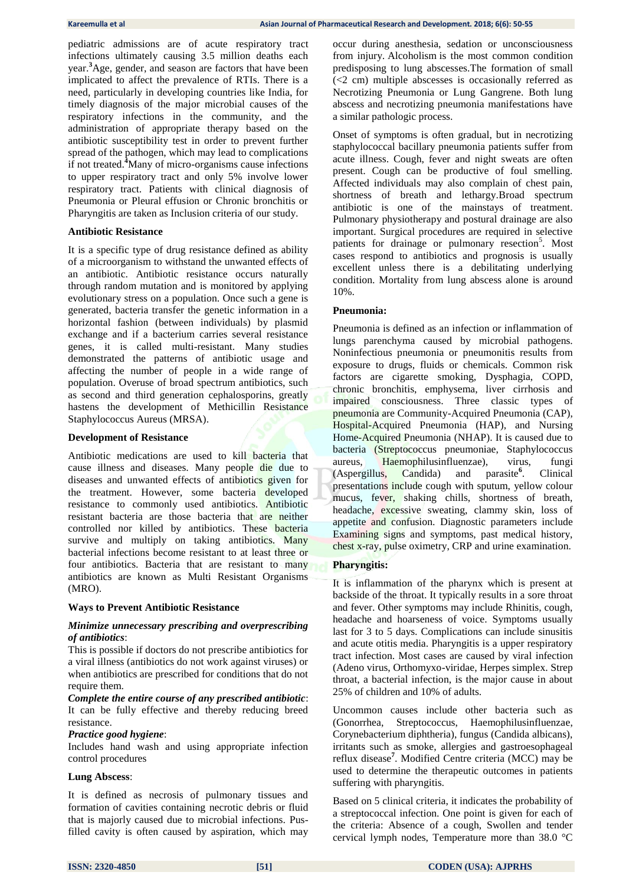pediatric admissions are of acute respiratory tract infections ultimately causing 3.5 million deaths each year.**<sup>3</sup>**Age, gender, and season are factors that have been implicated to affect the prevalence of RTIs. There is a need, particularly in developing countries like India, for timely diagnosis of the major microbial causes of the respiratory infections in the community, and the administration of appropriate therapy based on the antibiotic susceptibility test in order to prevent further spread of the pathogen, which may lead to complications if not treated. **<sup>4</sup>**Many of micro-organisms cause infections to upper respiratory tract and only 5% involve lower respiratory tract. Patients with clinical diagnosis of Pneumonia or Pleural effusion or Chronic bronchitis or Pharyngitis are taken as Inclusion criteria of our study.

#### **Antibiotic Resistance**

It is a specific type of drug resistance defined as ability of a microorganism to withstand the unwanted effects of an antibiotic. Antibiotic resistance occurs naturally through random mutation and is monitored by applying evolutionary stress on a population. Once such a gene is generated, bacteria transfer the genetic information in a horizontal fashion (between individuals) by plasmid exchange and if a bacterium carries several resistance genes, it is called multi-resistant. Many studies demonstrated the patterns of antibiotic usage and affecting the number of people in a wide range of population. Overuse of broad spectrum antibiotics, such as second and third generation cephalosporins, greatly hastens the development of Methicillin Resistance Staphylococcus Aureus (MRSA).

#### **Development of Resistance**

Antibiotic medications are used to kill bacteria that cause illness and diseases. Many people die due to diseases and unwanted effects of antibiotics given for the treatment. However, some bacteria developed resistance to commonly used antibiotics. Antibiotic resistant bacteria are those bacteria that are neither controlled nor killed by antibiotics. These bacteria survive and multiply on taking antibiotics. Many bacterial infections become resistant to at least three or four antibiotics. Bacteria that are resistant to many antibiotics are known as Multi Resistant Organisms (MRO).

#### **Ways to Prevent Antibiotic Resistance**

#### *Minimize unnecessary prescribing and overprescribing of antibiotics*:

This is possible if doctors do not prescribe antibiotics for a viral illness (antibiotics do not work against viruses) or when antibiotics are prescribed for conditions that do not require them.

*Complete the entire course of any prescribed antibiotic*: It can be fully effective and thereby reducing breed resistance.

#### *Practice good hygiene*:

Includes hand wash and using appropriate infection control procedures

#### **Lung Abscess**:

It is defined as necrosis of pulmonary tissues and formation of cavities containing necrotic debris or fluid that is majorly caused due to microbial infections. Pusfilled cavity is often caused by aspiration, which may

occur during anesthesia, sedation or unconsciousness from injury. Alcoholism is the most common condition predisposing to lung abscesses.The formation of small (<2 cm) multiple abscesses is occasionally referred as Necrotizing Pneumonia or Lung Gangrene. Both lung abscess and necrotizing pneumonia manifestations have a similar pathologic process.

Onset of symptoms is often gradual, but in necrotizing staphylococcal bacillary pneumonia patients suffer from acute illness. Cough, fever and night sweats are often present. Cough can be productive of foul smelling. Affected individuals may also complain of chest pain, shortness of breath and lethargy.Broad spectrum antibiotic is one of the mainstays of treatment. Pulmonary physiotherapy and postural drainage are also important. Surgical procedures are required in selective patients for drainage or pulmonary resection<sup>5</sup>. Most cases respond to antibiotics and prognosis is usually excellent unless there is a debilitating underlying condition. Mortality from lung abscess alone is around 10%.

#### **Pneumonia:**

Pneumonia is defined as an infection or inflammation of lungs parenchyma caused by microbial pathogens. Noninfectious pneumonia or pneumonitis results from exposure to drugs, fluids or chemicals. Common risk factors are cigarette smoking, Dysphagia, COPD, chronic bronchitis, emphysema, liver cirrhosis and impaired consciousness. Three classic types of pneumonia are Community-Acquired Pneumonia (CAP), Hospital-Acquired Pneumonia (HAP), and Nursing Home-Acquired Pneumonia (NHAP). It is caused due to bacteria (Streptococcus pneumoniae, Staphylococcus aureus, Haemophilusinfluenzae), virus, fungi (Aspergillus, Candida) and parasite<sup>°</sup>. . Clinical presentations include cough with sputum, yellow colour mucus, fever, shaking chills, shortness of breath, headache, excessive sweating, clammy skin, loss of appetite and confusion. Diagnostic parameters include Examining signs and symptoms, past medical history, chest x-ray, pulse oximetry, CRP and urine examination.

#### **Pharyngitis:**

It is inflammation of the pharynx which is present at backside of the throat. It typically results in a sore throat and fever. Other symptoms may include Rhinitis, cough, headache and hoarseness of voice. Symptoms usually last for 3 to 5 days. Complications can include sinusitis and acute otitis media. Pharyngitis is a upper respiratory tract infection. Most cases are caused by viral infection (Adeno virus, Orthomyxo-viridae, Herpes simplex. Strep throat, a bacterial infection, is the major cause in about 25% of children and 10% of adults.

Uncommon causes include other bacteria such as (Gonorrhea, Streptococcus, Haemophilusinfluenzae, Corynebacterium diphtheria), fungus (Candida albicans), irritants such as smoke, allergies and gastroesophageal reflux disease**<sup>7</sup>** . Modified Centre criteria (MCC) may be used to determine the therapeutic outcomes in patients suffering with pharyngitis.

Based on 5 clinical criteria, it indicates the probability of a streptococcal infection. One point is given for each of the criteria: Absence of a cough, Swollen and tender cervical lymph nodes, Temperature more than 38.0 °C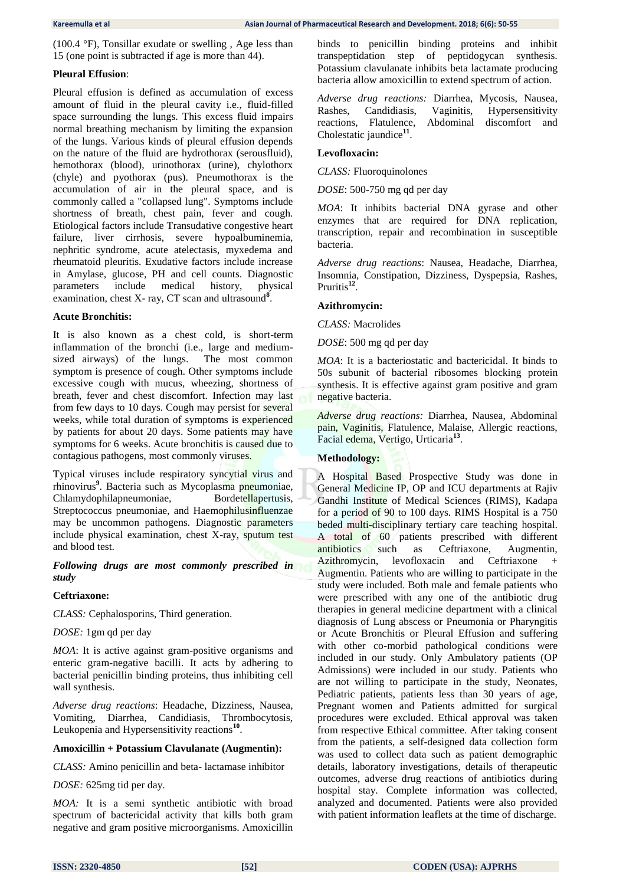(100.4 °F), Tonsillar exudate or swelling , Age less than 15 (one point is subtracted if age is more than 44).

#### **Pleural Effusion**:

Pleural effusion is defined as accumulation of excess amount of fluid in the pleural cavity i.e., fluid-filled space surrounding the lungs. This excess fluid impairs normal breathing mechanism by limiting the expansion of the lungs. Various kinds of pleural effusion depends on the nature of the fluid are hydrothorax (serousfluid), hemothorax (blood), urinothorax (urine), chylothorx (chyle) and pyothorax (pus). Pneumothorax is the accumulation of air in the pleural space, and is commonly called a "collapsed lung". Symptoms include shortness of breath, chest pain, fever and cough. Etiological factors include Transudative congestive heart failure, liver cirrhosis, severe hypoalbuminemia, nephritic syndrome, acute atelectasis, myxedema and rheumatoid pleuritis. Exudative factors include increase in Amylase, glucose, PH and cell counts. Diagnostic parameters include medical history, physical examination, chest X- ray, CT scan and ultrasound<sup>8</sup>.

#### **Acute Bronchitis:**

It is also known as a chest cold, is short-term inflammation of the bronchi (i.e., large and mediumsized airways) of the lungs. The most common symptom is presence of cough. Other symptoms include excessive cough with mucus, wheezing, shortness of breath, fever and chest discomfort. Infection may last from few days to 10 days. Cough may persist for several weeks, while total duration of symptoms is experienced by patients for about 20 days. Some patients may have symptoms for 6 weeks. Acute bronchitis is caused due to contagious pathogens, most commonly viruses.

Typical viruses include respiratory syncytial virus and rhinovirus**<sup>9</sup>** . Bacteria such as Mycoplasma pneumoniae, Chlamydophilapneumoniae, Bordetellapertusis, Streptococcus pneumoniae, and Haemophilusinfluenzae may be uncommon pathogens. Diagnostic parameters include physical examination, chest X-ray, sputum test and blood test.

#### *Following drugs are most commonly prescribed in study*

#### **Ceftriaxone:**

*CLASS:* Cephalosporins, Third generation.

*DOSE:* 1gm qd per day

*MOA*: It is active against gram-positive organisms and enteric gram-negative bacilli. It acts by adhering to bacterial penicillin binding proteins, thus inhibiting cell wall synthesis.

*Adverse drug reactions*: Headache, Dizziness, Nausea, Vomiting, Diarrhea, Candidiasis, Thrombocytosis, Leukopenia and Hypersensitivity reactions<sup>10</sup>.

#### **Amoxicillin + Potassium Clavulanate (Augmentin):**

*CLASS:* Amino penicillin and beta- lactamase inhibitor

*DOSE:* 625mg tid per day.

*MOA:* It is a semi synthetic antibiotic with broad spectrum of bactericidal activity that kills both gram negative and gram positive microorganisms. Amoxicillin binds to penicillin binding proteins and inhibit transpeptidation step of peptidogycan synthesis. Potassium clavulanate inhibits beta lactamate producing bacteria allow amoxicillin to extend spectrum of action.

*Adverse drug reactions:* Diarrhea, Mycosis, Nausea, Rashes, Candidiasis, Vaginitis, Hypersensitivity reactions, Flatulence, Abdominal discomfort and Cholestatic jaundice<sup>11</sup>.

#### **Levofloxacin:**

*CLASS:* Fluoroquinolones

*DOSE*: 500-750 mg qd per day

*MOA*: It inhibits bacterial DNA gyrase and other enzymes that are required for DNA replication, transcription, repair and recombination in susceptible bacteria.

*Adverse drug reactions*: Nausea, Headache, Diarrhea, Insomnia, Constipation, Dizziness, Dyspepsia, Rashes, Pruritis**<sup>12</sup>** .

#### **Azithromycin:**

*CLASS:* Macrolides

*DOSE*: 500 mg qd per day

*MOA*: It is a bacteriostatic and bactericidal. It binds to 50s subunit of bacterial ribosomes blocking protein synthesis. It is effective against gram positive and gram negative bacteria.

*Adverse drug reactions:* Diarrhea, Nausea, Abdominal pain, Vaginitis, Flatulence, Malaise, Allergic reactions, Facial edema, Vertigo, Urticaria**<sup>13</sup>** .

#### **Methodology:**

A Hospital Based Prospective Study was done in General Medicine IP, OP and ICU departments at Rajiv Gandhi Institute of Medical Sciences (RIMS), Kadapa for a period of 90 to 100 days. RIMS Hospital is a 750 beded multi-disciplinary tertiary care teaching hospital. A total of 60 patients prescribed with different antibiotics such as Ceftriaxone, Augmentin, Azithromycin, levofloxacin and Ceftriaxone + Augmentin. Patients who are willing to participate in the study were included. Both male and female patients who were prescribed with any one of the antibiotic drug therapies in general medicine department with a clinical diagnosis of Lung abscess or Pneumonia or Pharyngitis or Acute Bronchitis or Pleural Effusion and suffering with other co-morbid pathological conditions were included in our study. Only Ambulatory patients (OP Admissions) were included in our study. Patients who are not willing to participate in the study, Neonates, Pediatric patients, patients less than 30 years of age, Pregnant women and Patients admitted for surgical procedures were excluded. Ethical approval was taken from respective Ethical committee. After taking consent from the patients, a self-designed data collection form was used to collect data such as patient demographic details, laboratory investigations, details of therapeutic outcomes, adverse drug reactions of antibiotics during hospital stay. Complete information was collected, analyzed and documented. Patients were also provided with patient information leaflets at the time of discharge.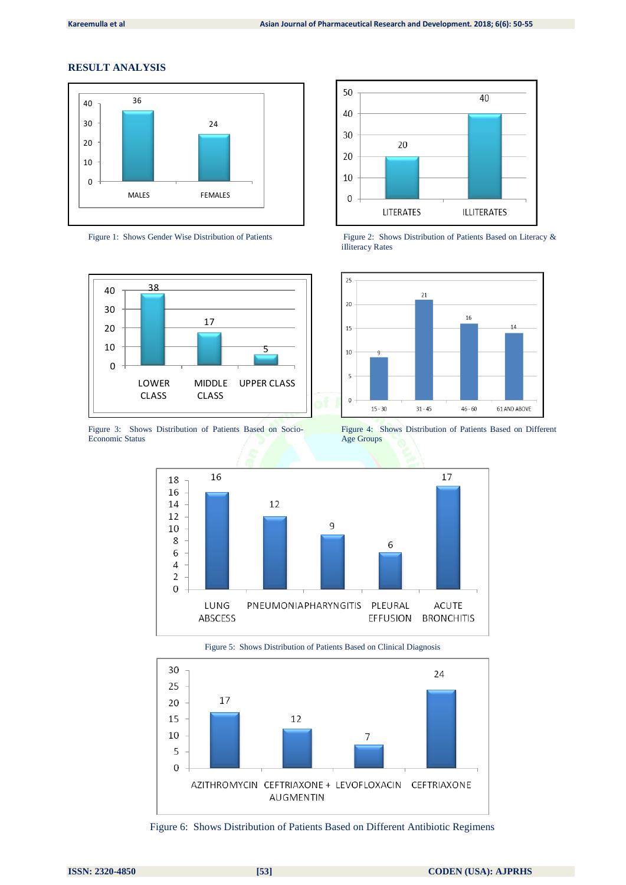# **RESULT ANALYSIS**





Figure 3: Shows Distribution of Patients Based on Socio-Economic Status



Figure 1: Shows Gender Wise Distribution of Patients Figure 2: Shows Distribution of Patients Based on Literacy & iIliteracy Rates



Figure 4: Shows Distribution of Patients Based on Different Age Groups



Figure 5: Shows Distribution of Patients Based on Clinical Diagnosis



Figure 6: Shows Distribution of Patients Based on Different Antibiotic Regimens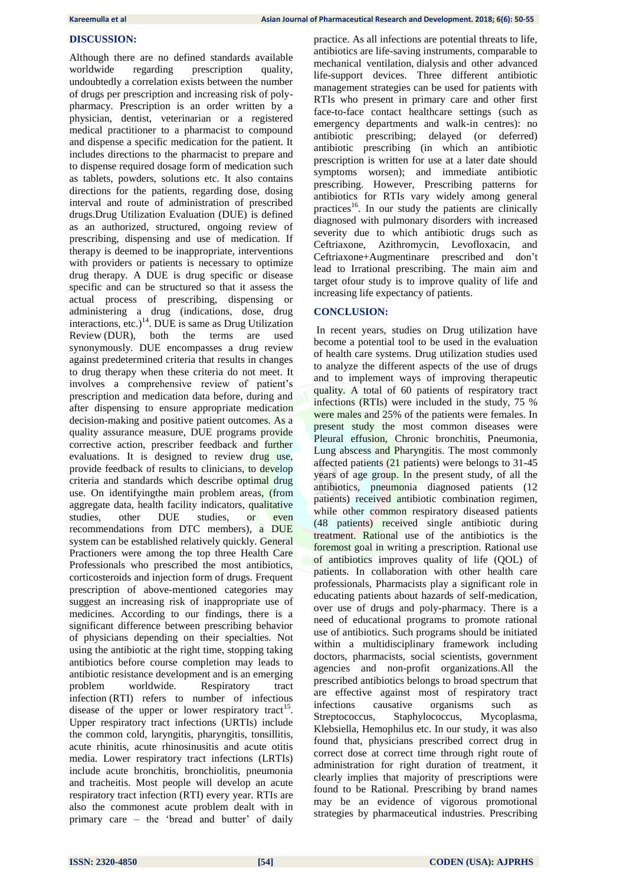# **DISCUSSION:**

Although there are no defined standards available worldwide regarding prescription quality, undoubtedly a correlation exists between the number of drugs per prescription and increasing risk of polypharmacy. Prescription is an order written by a physician, dentist, veterinarian or a registered medical practitioner to a pharmacist to compound and dispense a specific medication for the patient. It includes directions to the pharmacist to prepare and to dispense required dosage form of medication such as tablets, powders, solutions etc. It also contains directions for the patients, regarding dose, dosing interval and route of administration of prescribed drugs.Drug Utilization Evaluation (DUE) is defined as an authorized, structured, ongoing review of prescribing, dispensing and use of medication. If therapy is deemed to be inappropriate, interventions with providers or patients is necessary to optimize drug therapy. A DUE is drug specific or disease specific and can be structured so that it assess the actual process of prescribing, dispensing or administering a drug (indications, dose, drug interactions, etc.)<sup>14</sup>. DUE is same as Drug Utilization Review (DUR), both the terms are used synonymously. DUE encompasses a drug review against predetermined criteria that results in changes to drug therapy when these criteria do not meet. It involves a comprehensive review of patient's prescription and medication data before, during and after dispensing to ensure appropriate medication decision-making and positive patient outcomes. As a quality assurance measure, DUE programs provide corrective action, prescriber feedback and further evaluations. It is designed to review drug use, provide feedback of results to clinicians, to develop criteria and standards which describe optimal drug use. On identifyingthe main problem areas, (from aggregate data, health facility indicators, qualitative studies, other DUE studies, or even recommendations from DTC members), a DUE system can be established relatively quickly. General Practioners were among the top three Health Care Professionals who prescribed the most antibiotics, corticosteroids and injection form of drugs. Frequent prescription of above-mentioned categories may suggest an increasing risk of inappropriate use of medicines. According to our findings, there is a significant difference between prescribing behavior of physicians depending on their specialties. Not using the antibiotic at the right time, stopping taking antibiotics before course completion may leads to antibiotic resistance development and is an emerging problem worldwide. [Respiratory tract](https://www.ncbi.nlm.nih.gov/books/n/nicecg69/ch3/def-item/glossary.gl1-d1/)  [infection](https://www.ncbi.nlm.nih.gov/books/n/nicecg69/ch3/def-item/glossary.gl1-d1/) [\(RTI\)](https://www.ncbi.nlm.nih.gov/books/n/nicecg69/ch3/def-item/abbreviations.gl1-d17/) refers to number of infectious disease of the upper or lower respiratory tract<sup>15</sup>. Upper respiratory tract infections (URTIs) include the common cold, laryngitis, pharyngitis, tonsillitis, acute rhinitis, acute rhinosinusitis and acute otitis media. Lower respiratory tract infections (LRTIs) include acute bronchitis, bronchiolitis, pneumonia and tracheitis. Most people will develop an acute respiratory tract infection (RTI) every year. RTIs are also the commonest acute problem dealt with in primary care – the 'bread and butter' of daily

practice. As all infections are potential threats to life, antibiotics are life-saving instruments, comparable to mechanical ventilation, dialysis and other advanced life-support devices. Three different antibiotic management strategies can be used for patients with RTIs who present in primary care and other first face-to-face contact healthcare settings (such as emergency departments and walk-in centres): no antibiotic prescribing; delayed (or deferred) antibiotic prescribing (in which an antibiotic prescription is written for use at a later date should symptoms worsen); and immediate antibiotic prescribing. However, Prescribing patterns for antibiotics for RTIs vary widely among general practices<sup>16</sup>. In our study the patients are clinically diagnosed with pulmonary disorders with increased severity due to which antibiotic drugs such as Ceftriaxone, Azithromycin, Levofloxacin, and Ceftriaxone+Augmentinare prescribed and don't lead to Irrational prescribing. The main aim and target ofour study is to improve quality of life and increasing life expectancy of patients.

#### **CONCLUSION:**

In recent years, studies on Drug utilization have become a potential tool to be used in the evaluation of health care systems. Drug utilization studies used to analyze the different aspects of the use of drugs and to implement ways of improving therapeutic quality. A total of 60 patients of respiratory tract infections (RTIs) were included in the study, 75 % were males and 25% of the patients were females. In present study the most common diseases were Pleural effusion, Chronic bronchitis, Pneumonia, Lung abscess and Pharyngitis. The most commonly affected patients (21 patients) were belongs to 31-45 years of age group. In the present study, of all the antibiotics, pneumonia diagnosed patients (12 patients) received antibiotic combination regimen, while other common respiratory diseased patients (48 patients) received single antibiotic during treatment. Rational use of the antibiotics is the foremost goal in writing a prescription. Rational use of antibiotics improves quality of life (QOL) of patients. In collaboration with other health care professionals, Pharmacists play a significant role in educating patients about hazards of self-medication, over use of drugs and poly-pharmacy. There is a need of educational programs to promote rational use of antibiotics. Such programs should be initiated within a multidisciplinary framework including doctors, pharmacists, social scientists, government agencies and non-profit organizations.All the prescribed antibiotics belongs to broad spectrum that are effective against most of respiratory tract infections causative organisms such as Streptococcus, Staphylococcus, Mycoplasma, Klebsiella, Hemophilus etc. In our study, it was also found that, physicians prescribed correct drug in correct dose at correct time through right route of administration for right duration of treatment, it clearly implies that majority of prescriptions were found to be Rational. Prescribing by brand names may be an evidence of vigorous promotional strategies by pharmaceutical industries. Prescribing